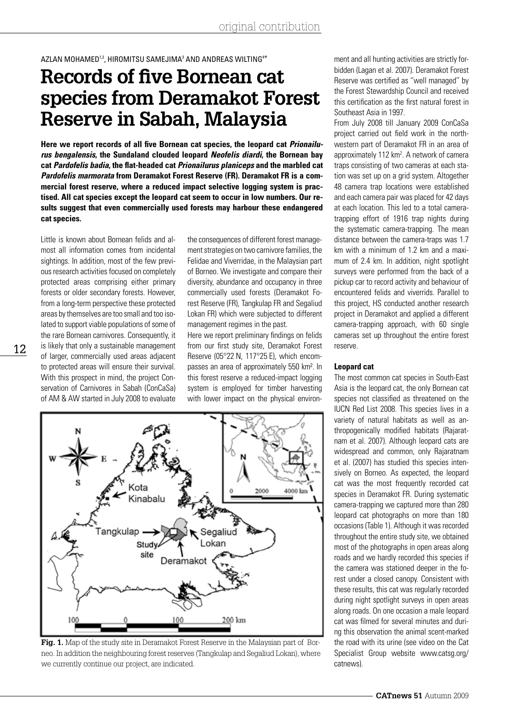AZLAN MOHAMED<sup>1,2</sup>, HIROMITSU SAMEJIMA<sup>3</sup> AND ANDREAS WILTING<sup>4\*</sup>

# **Records of five Bornean cat species from Deramakot Forest Reserve in Sabah, Malaysia**

**Here we report records of all five Bornean cat species, the leopard cat** *Prionailurus bengalensis***, the Sundaland clouded leopard** *Neofelis diardi***, the Bornean bay cat** *Pardofelis badia***, the flat-headed cat** *Prionailurus planiceps* **and the marbled cat**  *Pardofelis marmorata* **from Deramakot Forest Reserve (FR). Deramakot FR is a commercial forest reserve, where a reduced impact selective logging system is practised. All cat species except the leopard cat seem to occur in low numbers. Our results suggest that even commercially used forests may harbour these endangered cat species.**

Little is known about Bornean felids and almost all information comes from incidental sightings. In addition, most of the few previous research activities focused on completely protected areas comprising either primary forests or older secondary forests. However, from a long-term perspective these protected areas by themselves are too small and too isolated to support viable populations of some of the rare Bornean carnivores. Consequently, it is likely that only a sustainable management of larger, commercially used areas adjacent to protected areas will ensure their survival. With this prospect in mind, the project Conservation of Carnivores in Sabah (ConCaSa) of AM & AW started in July 2008 to evaluate

12

the consequences of different forest management strategies on two carnivore families, the Felidae and Viverridae, in the Malaysian part of Borneo. We investigate and compare their diversity, abundance and occupancy in three commercially used forests (Deramakot Forest Reserve (FR), Tangkulap FR and Segaliud Lokan FR) which were subjected to different management regimes in the past.

Here we report preliminary findings on felids from our first study site, Deramakot Forest Reserve (05°22 N, 117°25 E), which encompasses an area of approximately 550 km². In this forest reserve a reduced-impact logging system is employed for timber harvesting with lower impact on the physical environ-



**Fig. 1.** Map of the study site in Deramakot Forest Reserve in the Malaysian part of Borneo. In addition the neighbouring forest reserves (Tangkulap and Segaliud Lokan), where we currently continue our project, are indicated.

ment and all hunting activities are strictly forbidden (Lagan et al. 2007). Deramakot Forest Reserve was certified as ''well managed'' by the Forest Stewardship Council and received this certification as the first natural forest in Southeast Asia in 1997.

From July 2008 till January 2009 ConCaSa project carried out field work in the northwestern part of Deramakot FR in an area of approximately 112 km<sup>2</sup>. A network of camera traps consisting of two cameras at each station was set up on a grid system. Altogether 48 camera trap locations were established and each camera pair was placed for 42 days at each location. This led to a total cameratrapping effort of 1916 trap nights during the systematic camera-trapping. The mean distance between the camera-traps was 1.7 km with a minimum of 1.2 km and a maximum of 2.4 km. In addition, night spotlight surveys were performed from the back of a pickup car to record activity and behaviour of encountered felids and viverrids. Parallel to this project, HS conducted another research project in Deramakot and applied a different camera-trapping approach, with 60 single cameras set up throughout the entire forest reserve.

# **Leopard cat**

The most common cat species in South-East Asia is the leopard cat, the only Bornean cat species not classified as threatened on the IUCN Red List 2008. This species lives in a variety of natural habitats as well as anthropogenically modified habitats (Rajaratnam et al. 2007). Although leopard cats are widespread and common, only Rajaratnam et al. (2007) has studied this species intensively on Borneo. As expected, the leopard cat was the most frequently recorded cat species in Deramakot FR. During systematic camera-trapping we captured more than 280 leopard cat photographs on more than 180 occasions (Table 1). Although it was recorded throughout the entire study site, we obtained most of the photographs in open areas along roads and we hardly recorded this species if the camera was stationed deeper in the forest under a closed canopy. Consistent with these results, this cat was regularly recorded during night spotlight surveys in open areas along roads. On one occasion a male leopard cat was filmed for several minutes and during this observation the animal scent-marked the road with its urine (see video on the Cat Specialist Group website www.catsg.org/ catnews).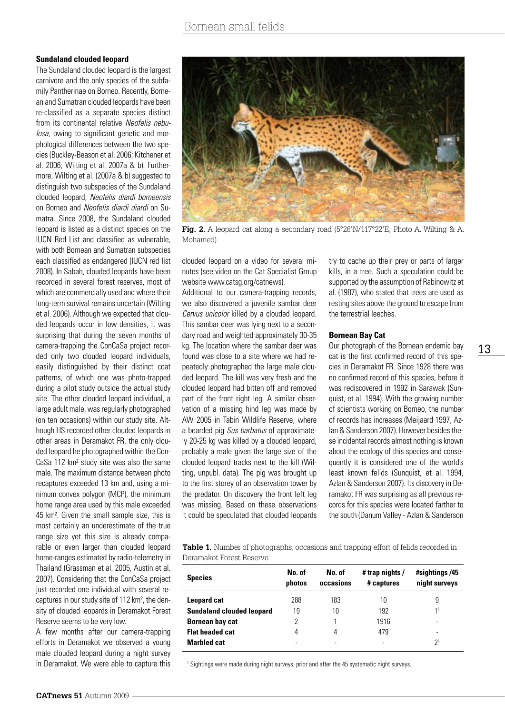## **Sundaland clouded leopard**

The Sundaland clouded leopard is the largest carnivore and the only species of the subfamily Pantherinae on Borneo. Recently, Bornean and Sumatran clouded leopards have been re-classified as a separate species distinct from its continental relative *Neofelis nebulosa*, owing to significant genetic and morphological differences between the two species (Buckley-Beason et al. 2006; Kitchener et al. 2006; Wilting et al. 2007a & b). Furthermore, Wilting et al. (2007a & b) suggested to distinguish two subspecies of the Sundaland clouded leopard, *Neofelis diardi borneensis* on Borneo and *Neofelis diardi diardi* on Sumatra. Since 2008, the Sundaland clouded leopard is listed as a distinct species on the IUCN Red List and classified as vulnerable, with both Bornean and Sumatran subspecies each classified as endangered (IUCN red list 2008). In Sabah, clouded leopards have been recorded in several forest reserves, most of which are commercially used and where their long-term survival remains uncertain (Wilting et al. 2006). Although we expected that clouded leopards occur in low densities, it was surprising that during the seven months of camera-trapping the ConCaSa project recorded only two clouded leopard individuals, easily distinguished by their distinct coat patterns, of which one was photo-trapped during a pilot study outside the actual study site. The other clouded leopard individual, a large adult male, was regularly photographed (on ten occasions) within our study site. Although HS recorded other clouded leopards in other areas in Deramakot FR, the only clouded leopard he photographed within the Con-CaSa 112 km² study site was also the same male. The maximum distance between photo recaptures exceeded 13 km and, using a minimum convex polygon (MCP), the minimum home range area used by this male exceeded 45 km². Given the small sample size, this is most certainly an underestimate of the true range size yet this size is already comparable or even larger than clouded leopard home-ranges estimated by radio-telemetry in Thailand (Grassman et al. 2005, Austin et al. 2007). Considering that the ConCaSa project just recorded one individual with several recaptures in our study site of 112 km², the density of clouded leopards in Deramakot Forest Reserve seems to be very low.

A few months after our camera-trapping efforts in Deramakot we observed a young male clouded leopard during a night survey in Deramakot. We were able to capture this



**Fig. 2.** A leopard cat along a secondary road (5°26'N/117°22'E; Photo A. Wilting & A. Mohamed).

clouded leopard on a video for several minutes (see video on the Cat Specialist Group website www.catsg.org/catnews).

Additional to our camera-trapping records, we also discovered a juvenile sambar deer *Cervus unicolor* killed by a clouded leopard. This sambar deer was lying next to a secondary road and weighted approximately 30-35 kg. The location where the sambar deer was found was close to a site where we had repeatedly photographed the large male clouded leopard. The kill was very fresh and the clouded leopard had bitten off and removed part of the front right leg. A similar observation of a missing hind leg was made by AW 2005 in Tabin Wildlife Reserve, where a bearded pig *Sus barbatus* of approximately 20-25 kg was killed by a clouded leopard, probably a male given the large size of the clouded leopard tracks next to the kill (Wilting, unpubl. data). The pig was brought up to the first storey of an observation tower by the predator. On discovery the front left leg was missing. Based on these observations it could be speculated that clouded leopards

try to cache up their prey or parts of larger kills, in a tree. Such a speculation could be supported by the assumption of Rabinowitz et al. (1987), who stated that trees are used as resting sites above the ground to escape from the terrestrial leeches.

# **Bornean Bay Cat**

Our photograph of the Bornean endemic bay cat is the first confirmed record of this species in Deramakot FR. Since 1928 there was no confirmed record of this species, before it was rediscovered in 1992 in Sarawak (Sunquist, et al. 1994). With the growing number of scientists working on Borneo, the number of records has increases (Meijaard 1997, Azlan & Sanderson 2007). However besides these incidental records almost nothing is known about the ecology of this species and consequently it is considered one of the world's least known felids (Sunquist, et al. 1994, Azlan & Sanderson 2007). Its discovery in Deramakot FR was surprising as all previous records for this species were located farther to the south (Danum Valley - Azlan & Sanderson

**Table 1.** Number of photographs, occasions and trapping effort of felids recorded in Deramakot Forest Reserve.

| <b>Species</b>                   | No. of<br>photos | No. of<br>occasions | # trap nights /<br># captures | #sightings /45<br>night surveys |
|----------------------------------|------------------|---------------------|-------------------------------|---------------------------------|
| <b>Leopard cat</b>               | 288              | 183                 | 10                            | 9                               |
| <b>Sundaland clouded leopard</b> | 19               | 10                  | 192                           | 11                              |
| <b>Bornean bay cat</b>           | 2                |                     | 1916                          | -                               |
| <b>Flat headed cat</b>           | 4                | 4                   | 479                           | -                               |
| <b>Marbled cat</b>               |                  | -                   |                               | 2 <sup>1</sup>                  |

<sup>1</sup> Sightings were made during night surveys, prior and after the 45 systematic night surveys.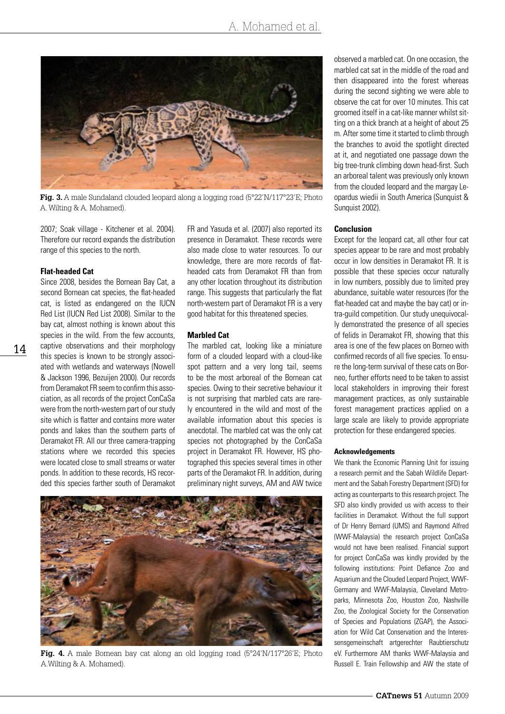

**Fig. 3.** A male Sundaland clouded leopard along a logging road (5°22'N/117°23'E; Photo A. Wilting & A. Mohamed).

2007; Soak village - Kitchener et al. 2004). Therefore our record expands the distribution range of this species to the north.

#### **Flat-headed Cat**

14

Since 2008, besides the Bornean Bay Cat, a second Bornean cat species, the flat-headed cat, is listed as endangered on the IUCN Red List (IUCN Red List 2008). Similar to the bay cat, almost nothing is known about this species in the wild. From the few accounts, captive observations and their morphology this species is known to be strongly associated with wetlands and waterways (Nowell & Jackson 1996, Bezuijen 2000). Our records from Deramakot FR seem to confirm this association, as all records of the project ConCaSa were from the north-western part of our study site which is flatter and contains more water ponds and lakes than the southern parts of Deramakot FR. All our three camera-trapping stations where we recorded this species were located close to small streams or water ponds. In addition to these records, HS recorded this species farther south of Deramakot

FR and Yasuda et al. (2007) also reported its presence in Deramakot. These records were also made close to water resources. To our knowledge, there are more records of flatheaded cats from Deramakot FR than from any other location throughout its distribution range. This suggests that particularly the flat north-western part of Deramakot FR is a very good habitat for this threatened species.

#### **Marbled Cat**

The marbled cat, looking like a miniature form of a clouded leopard with a cloud-like spot pattern and a very long tail, seems to be the most arboreal of the Bornean cat species. Owing to their secretive behaviour it is not surprising that marbled cats are rarely encountered in the wild and most of the available information about this species is anecdotal. The marbled cat was the only cat species not photographed by the ConCaSa project in Deramakot FR. However, HS photographed this species several times in other parts of the Deramakot FR. In addition, during preliminary night surveys, AM and AW twice



Fig. 4. A male Bornean bay cat along an old logging road (5°24'N/117°26'E; Photo A.Wilting & A. Mohamed).

observed a marbled cat. On one occasion, the marbled cat sat in the middle of the road and then disappeared into the forest whereas during the second sighting we were able to observe the cat for over 10 minutes. This cat groomed itself in a cat-like manner whilst sitting on a thick branch at a height of about 25 m. After some time it started to climb through the branches to avoid the spotlight directed at it, and negotiated one passage down the big tree-trunk climbing down head-first. Such an arboreal talent was previously only known from the clouded leopard and the margay Leopardus wiedii in South America (Sunquist & Sunquist 2002).

## **Conclusion**

Except for the leopard cat, all other four cat species appear to be rare and most probably occur in low densities in Deramakot FR. It is possible that these species occur naturally in low numbers, possibly due to limited prey abundance, suitable water resources (for the flat-headed cat and maybe the bay cat) or intra-guild competition. Our study unequivocally demonstrated the presence of all species of felids in Deramakot FR, showing that this area is one of the few places on Borneo with confirmed records of all five species. To ensure the long-term survival of these cats on Borneo, further efforts need to be taken to assist local stakeholders in improving their forest management practices, as only sustainable forest management practices applied on a large scale are likely to provide appropriate protection for these endangered species.

#### **Acknowledgements**

We thank the Economic Planning Unit for issuing a research permit and the Sabah Wildlife Department and the Sabah Forestry Department (SFD) for acting as counterparts to this research project. The SFD also kindly provided us with access to their facilities in Deramakot. Without the full support of Dr Henry Bernard (UMS) and Raymond Alfred (WWF-Malaysia) the research project ConCaSa would not have been realised. Financial support for project ConCaSa was kindly provided by the following institutions: Point Defiance Zoo and Aquarium and the Clouded Leopard Project, WWF-Germany and WWF-Malaysia, Cleveland Metroparks, Minnesota Zoo, Houston Zoo, Nashville Zoo, the Zoological Society for the Conservation of Species and Populations (ZGAP), the Association for Wild Cat Conservation and the Interessensgemeinschaft artgerechter Raubtierschutz eV. Furthermore AM thanks WWF-Malaysia and Russell E. Train Fellowship and AW the state of